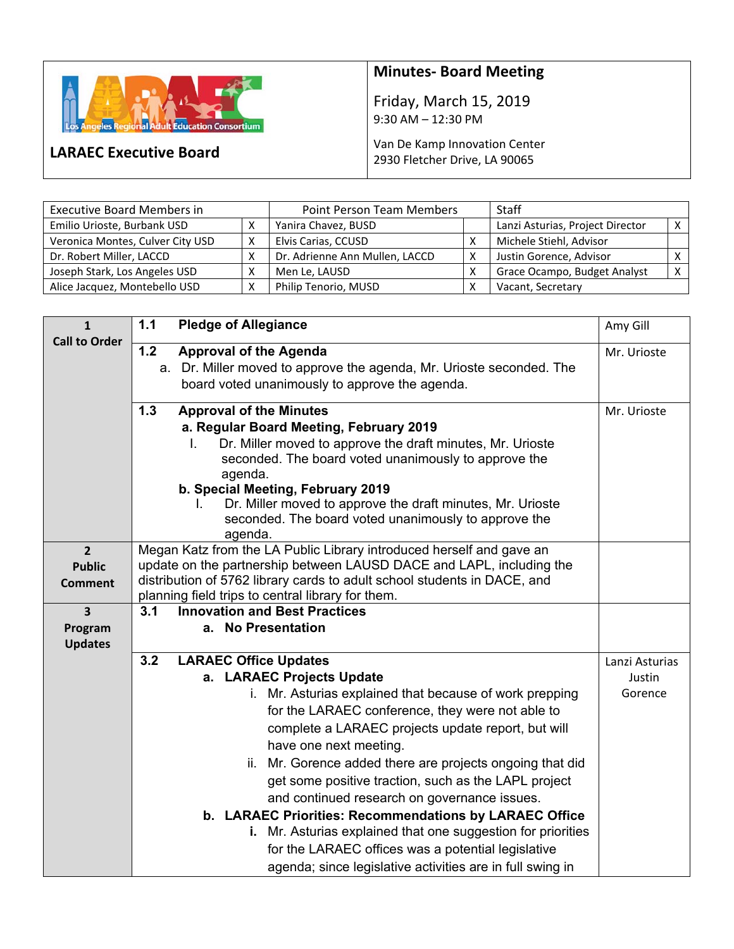

## **Minutes‐ Board Meeting**

Friday, March 15, 2019 9:30 AM – 12:30 PM

## Van De Kamp Innovation Center 2930 Fletcher Drive, LA 90065

**LARAEC Executive Board** 

| <b>Executive Board Members in</b> | <b>Point Person Team Members</b> |                                | <b>Staff</b> |                                  |  |
|-----------------------------------|----------------------------------|--------------------------------|--------------|----------------------------------|--|
| Emilio Urioste, Burbank USD       |                                  | Yanira Chavez, BUSD            |              | Lanzi Asturias, Project Director |  |
| Veronica Montes, Culver City USD  | x                                | Elvis Carias, CCUSD            |              | Michele Stiehl, Advisor          |  |
| Dr. Robert Miller, LACCD          |                                  | Dr. Adrienne Ann Mullen, LACCD | v            | Justin Gorence, Advisor          |  |
| Joseph Stark, Los Angeles USD     |                                  | Men Le. LAUSD                  |              | Grace Ocampo, Budget Analyst     |  |
| Alice Jacquez, Montebello USD     |                                  | Philip Tenorio, MUSD           |              | Vacant, Secretary                |  |

| $\mathbf{1}$              | 1.1<br><b>Pledge of Allegiance</b>                                                                                     | Amy Gill       |
|---------------------------|------------------------------------------------------------------------------------------------------------------------|----------------|
| <b>Call to Order</b>      | 1.2<br><b>Approval of the Agenda</b>                                                                                   | Mr. Urioste    |
|                           | a. Dr. Miller moved to approve the agenda, Mr. Urioste seconded. The                                                   |                |
|                           | board voted unanimously to approve the agenda.                                                                         |                |
|                           | 1.3<br><b>Approval of the Minutes</b>                                                                                  | Mr. Urioste    |
|                           | a. Regular Board Meeting, February 2019                                                                                |                |
|                           | Dr. Miller moved to approve the draft minutes, Mr. Urioste<br>L.                                                       |                |
|                           | seconded. The board voted unanimously to approve the<br>agenda.                                                        |                |
|                           | b. Special Meeting, February 2019                                                                                      |                |
|                           | Dr. Miller moved to approve the draft minutes, Mr. Urioste                                                             |                |
|                           | seconded. The board voted unanimously to approve the                                                                   |                |
| $\overline{2}$            | agenda.<br>Megan Katz from the LA Public Library introduced herself and gave an                                        |                |
| <b>Public</b>             | update on the partnership between LAUSD DACE and LAPL, including the                                                   |                |
| Comment                   | distribution of 5762 library cards to adult school students in DACE, and                                               |                |
|                           | planning field trips to central library for them.                                                                      |                |
| 3                         | <b>Innovation and Best Practices</b><br>3.1                                                                            |                |
| Program<br><b>Updates</b> | a. No Presentation                                                                                                     |                |
|                           | 3.2<br><b>LARAEC Office Updates</b>                                                                                    | Lanzi Asturias |
|                           | a. LARAEC Projects Update                                                                                              | Justin         |
|                           | i. Mr. Asturias explained that because of work prepping                                                                | Gorence        |
|                           | for the LARAEC conference, they were not able to                                                                       |                |
|                           | complete a LARAEC projects update report, but will                                                                     |                |
|                           | have one next meeting.                                                                                                 |                |
|                           | Mr. Gorence added there are projects ongoing that did<br>ii.                                                           |                |
|                           | get some positive traction, such as the LAPL project                                                                   |                |
|                           | and continued research on governance issues.                                                                           |                |
|                           | b. LARAEC Priorities: Recommendations by LARAEC Office<br>i. Mr. Asturias explained that one suggestion for priorities |                |
|                           | for the LARAEC offices was a potential legislative                                                                     |                |
|                           | agenda; since legislative activities are in full swing in                                                              |                |
|                           |                                                                                                                        |                |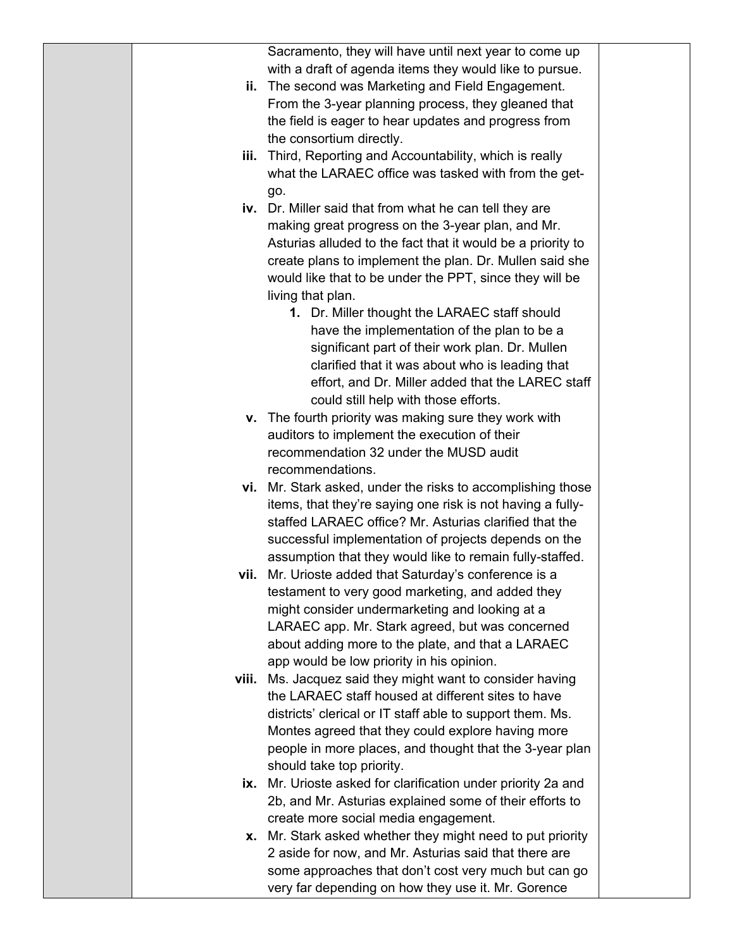Sacramento, they will have until next year to come up with a draft of agenda items they would like to pursue.

- **ii.** The second was Marketing and Field Engagement. From the 3-year planning process, they gleaned that the field is eager to hear updates and progress from the consortium directly.
- **iii.** Third, Reporting and Accountability, which is really what the LARAEC office was tasked with from the getgo.
- **iv.** Dr. Miller said that from what he can tell they are making great progress on the 3-year plan, and Mr. Asturias alluded to the fact that it would be a priority to create plans to implement the plan. Dr. Mullen said she would like that to be under the PPT, since they will be living that plan.
	- **1.** Dr. Miller thought the LARAEC staff should have the implementation of the plan to be a significant part of their work plan. Dr. Mullen clarified that it was about who is leading that effort, and Dr. Miller added that the LAREC staff could still help with those efforts.
- **v.** The fourth priority was making sure they work with auditors to implement the execution of their recommendation 32 under the MUSD audit recommendations.
- **vi.** Mr. Stark asked, under the risks to accomplishing those items, that they're saying one risk is not having a fullystaffed LARAEC office? Mr. Asturias clarified that the successful implementation of projects depends on the assumption that they would like to remain fully-staffed.
- **vii.** Mr. Urioste added that Saturday's conference is a testament to very good marketing, and added they might consider undermarketing and looking at a LARAEC app. Mr. Stark agreed, but was concerned about adding more to the plate, and that a LARAEC app would be low priority in his opinion.
- **viii.** Ms. Jacquez said they might want to consider having the LARAEC staff housed at different sites to have districts' clerical or IT staff able to support them. Ms. Montes agreed that they could explore having more people in more places, and thought that the 3-year plan should take top priority.
- **ix.** Mr. Urioste asked for clarification under priority 2a and 2b, and Mr. Asturias explained some of their efforts to create more social media engagement.
- **x.** Mr. Stark asked whether they might need to put priority 2 aside for now, and Mr. Asturias said that there are some approaches that don't cost very much but can go very far depending on how they use it. Mr. Gorence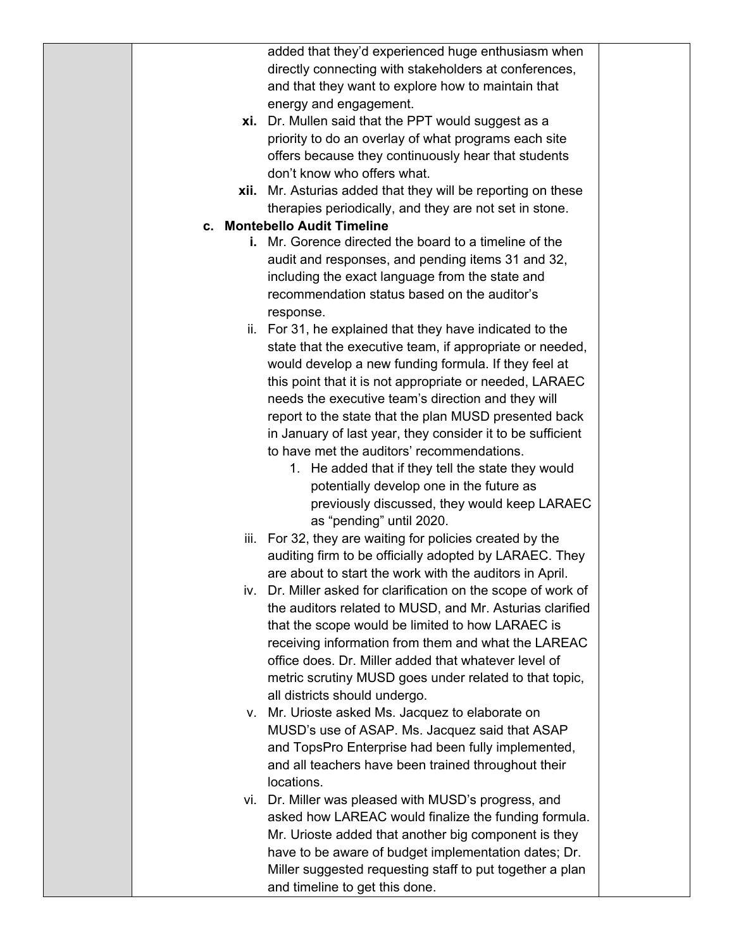|  | added that they'd experienced huge enthusiasm when             |
|--|----------------------------------------------------------------|
|  | directly connecting with stakeholders at conferences,          |
|  | and that they want to explore how to maintain that             |
|  | energy and engagement.                                         |
|  | xi. Dr. Mullen said that the PPT would suggest as a            |
|  | priority to do an overlay of what programs each site           |
|  | offers because they continuously hear that students            |
|  | don't know who offers what.                                    |
|  | xii. Mr. Asturias added that they will be reporting on these   |
|  | therapies periodically, and they are not set in stone.         |
|  | c. Montebello Audit Timeline                                   |
|  | i. Mr. Gorence directed the board to a timeline of the         |
|  |                                                                |
|  | audit and responses, and pending items 31 and 32,              |
|  | including the exact language from the state and                |
|  | recommendation status based on the auditor's                   |
|  | response.                                                      |
|  | ii. For 31, he explained that they have indicated to the       |
|  | state that the executive team, if appropriate or needed,       |
|  | would develop a new funding formula. If they feel at           |
|  | this point that it is not appropriate or needed, LARAEC        |
|  | needs the executive team's direction and they will             |
|  | report to the state that the plan MUSD presented back          |
|  | in January of last year, they consider it to be sufficient     |
|  | to have met the auditors' recommendations.                     |
|  | 1. He added that if they tell the state they would             |
|  | potentially develop one in the future as                       |
|  | previously discussed, they would keep LARAEC                   |
|  | as "pending" until 2020.                                       |
|  | iii. For 32, they are waiting for policies created by the      |
|  | auditing firm to be officially adopted by LARAEC. They         |
|  | are about to start the work with the auditors in April.        |
|  | iv. Dr. Miller asked for clarification on the scope of work of |
|  | the auditors related to MUSD, and Mr. Asturias clarified       |
|  | that the scope would be limited to how LARAEC is               |
|  | receiving information from them and what the LAREAC            |
|  | office does. Dr. Miller added that whatever level of           |
|  | metric scrutiny MUSD goes under related to that topic,         |
|  | all districts should undergo.                                  |
|  |                                                                |
|  | v. Mr. Urioste asked Ms. Jacquez to elaborate on               |
|  | MUSD's use of ASAP. Ms. Jacquez said that ASAP                 |
|  | and TopsPro Enterprise had been fully implemented,             |
|  | and all teachers have been trained throughout their            |
|  | locations.                                                     |
|  | vi. Dr. Miller was pleased with MUSD's progress, and           |
|  | asked how LAREAC would finalize the funding formula.           |
|  | Mr. Urioste added that another big component is they           |
|  | have to be aware of budget implementation dates; Dr.           |
|  | Miller suggested requesting staff to put together a plan       |
|  | and timeline to get this done.                                 |
|  |                                                                |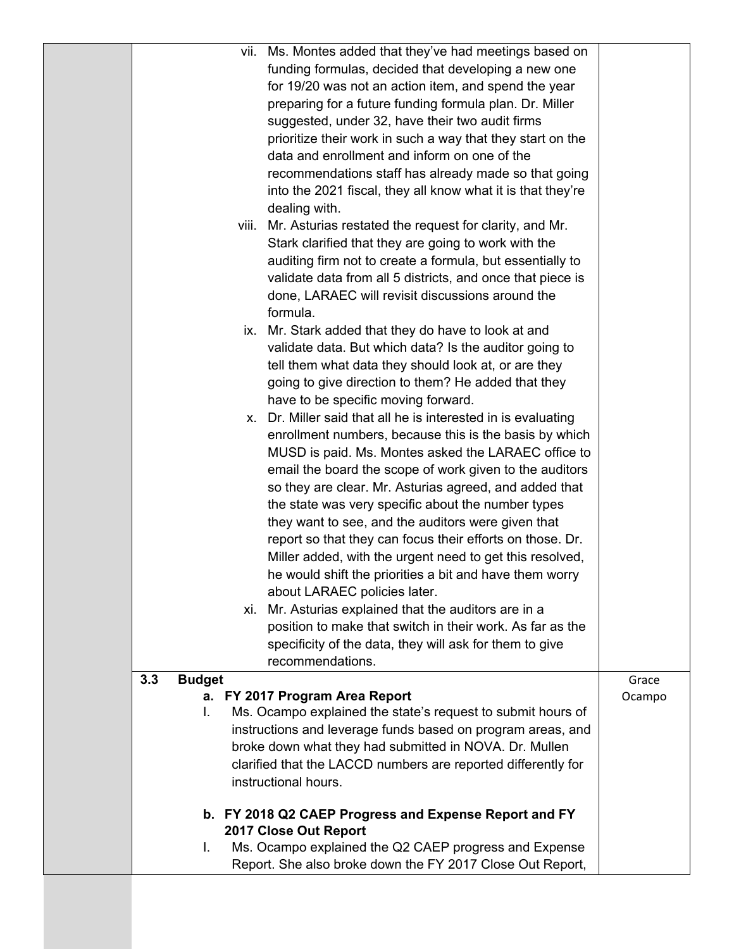|     |               |       | vii. Ms. Montes added that they've had meetings based on<br>funding formulas, decided that developing a new one |        |
|-----|---------------|-------|-----------------------------------------------------------------------------------------------------------------|--------|
|     |               |       | for 19/20 was not an action item, and spend the year                                                            |        |
|     |               |       | preparing for a future funding formula plan. Dr. Miller                                                         |        |
|     |               |       | suggested, under 32, have their two audit firms                                                                 |        |
|     |               |       | prioritize their work in such a way that they start on the                                                      |        |
|     |               |       | data and enrollment and inform on one of the                                                                    |        |
|     |               |       | recommendations staff has already made so that going                                                            |        |
|     |               |       | into the 2021 fiscal, they all know what it is that they're                                                     |        |
|     |               |       | dealing with.                                                                                                   |        |
|     |               | VIII. | Mr. Asturias restated the request for clarity, and Mr.                                                          |        |
|     |               |       | Stark clarified that they are going to work with the                                                            |        |
|     |               |       | auditing firm not to create a formula, but essentially to                                                       |        |
|     |               |       | validate data from all 5 districts, and once that piece is                                                      |        |
|     |               |       | done, LARAEC will revisit discussions around the                                                                |        |
|     |               |       | formula.                                                                                                        |        |
|     |               |       | ix. Mr. Stark added that they do have to look at and                                                            |        |
|     |               |       | validate data. But which data? Is the auditor going to                                                          |        |
|     |               |       | tell them what data they should look at, or are they<br>going to give direction to them? He added that they     |        |
|     |               |       | have to be specific moving forward.                                                                             |        |
|     |               |       | x. Dr. Miller said that all he is interested in is evaluating                                                   |        |
|     |               |       | enrollment numbers, because this is the basis by which                                                          |        |
|     |               |       | MUSD is paid. Ms. Montes asked the LARAEC office to                                                             |        |
|     |               |       | email the board the scope of work given to the auditors                                                         |        |
|     |               |       | so they are clear. Mr. Asturias agreed, and added that                                                          |        |
|     |               |       | the state was very specific about the number types                                                              |        |
|     |               |       | they want to see, and the auditors were given that                                                              |        |
|     |               |       | report so that they can focus their efforts on those. Dr.                                                       |        |
|     |               |       | Miller added, with the urgent need to get this resolved,                                                        |        |
|     |               |       | he would shift the priorities a bit and have them worry                                                         |        |
|     |               |       | about LARAEC policies later.                                                                                    |        |
|     |               |       | xi. Mr. Asturias explained that the auditors are in a                                                           |        |
|     |               |       | position to make that switch in their work. As far as the                                                       |        |
|     |               |       | specificity of the data, they will ask for them to give                                                         |        |
|     |               |       | recommendations.                                                                                                |        |
| 3.3 | <b>Budget</b> |       |                                                                                                                 | Grace  |
|     | I.            |       | a. FY 2017 Program Area Report<br>Ms. Ocampo explained the state's request to submit hours of                   | Ocampo |
|     |               |       | instructions and leverage funds based on program areas, and                                                     |        |
|     |               |       | broke down what they had submitted in NOVA. Dr. Mullen                                                          |        |
|     |               |       | clarified that the LACCD numbers are reported differently for                                                   |        |
|     |               |       | instructional hours.                                                                                            |        |
|     |               |       |                                                                                                                 |        |
|     |               |       | b. FY 2018 Q2 CAEP Progress and Expense Report and FY                                                           |        |
|     |               |       | 2017 Close Out Report                                                                                           |        |
|     | I.            |       | Ms. Ocampo explained the Q2 CAEP progress and Expense                                                           |        |
|     |               |       | Report. She also broke down the FY 2017 Close Out Report,                                                       |        |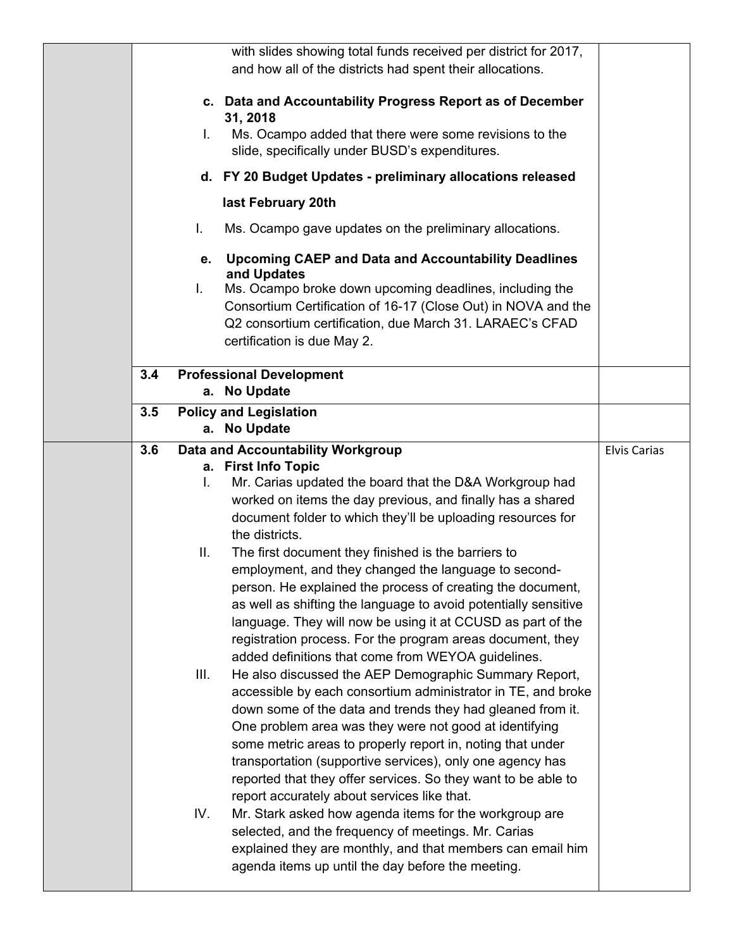|     |      | with slides showing total funds received per district for 2017,                |                     |
|-----|------|--------------------------------------------------------------------------------|---------------------|
|     |      | and how all of the districts had spent their allocations.                      |                     |
|     |      |                                                                                |                     |
|     |      | c. Data and Accountability Progress Report as of December                      |                     |
|     |      | 31, 2018                                                                       |                     |
|     | L.   | Ms. Ocampo added that there were some revisions to the                         |                     |
|     |      | slide, specifically under BUSD's expenditures.                                 |                     |
|     |      | d. FY 20 Budget Updates - preliminary allocations released                     |                     |
|     |      | last February 20th                                                             |                     |
|     | I.   |                                                                                |                     |
|     |      | Ms. Ocampo gave updates on the preliminary allocations.                        |                     |
|     |      | e. Upcoming CAEP and Data and Accountability Deadlines<br>and Updates          |                     |
|     | Ι.   | Ms. Ocampo broke down upcoming deadlines, including the                        |                     |
|     |      | Consortium Certification of 16-17 (Close Out) in NOVA and the                  |                     |
|     |      | Q2 consortium certification, due March 31. LARAEC's CFAD                       |                     |
|     |      | certification is due May 2.                                                    |                     |
|     |      |                                                                                |                     |
| 3.4 |      | <b>Professional Development</b>                                                |                     |
|     |      | a. No Update                                                                   |                     |
| 3.5 |      | <b>Policy and Legislation</b>                                                  |                     |
|     |      | a. No Update                                                                   |                     |
| 3.6 |      | Data and Accountability Workgroup                                              | <b>Elvis Carias</b> |
|     |      |                                                                                |                     |
|     |      |                                                                                |                     |
|     | I.   | a. First Info Topic<br>Mr. Carias updated the board that the D&A Workgroup had |                     |
|     |      |                                                                                |                     |
|     |      | worked on items the day previous, and finally has a shared                     |                     |
|     |      | document folder to which they'll be uploading resources for<br>the districts.  |                     |
|     | Ш.   |                                                                                |                     |
|     |      | The first document they finished is the barriers to                            |                     |
|     |      | employment, and they changed the language to second-                           |                     |
|     |      | person. He explained the process of creating the document,                     |                     |
|     |      | as well as shifting the language to avoid potentially sensitive                |                     |
|     |      | language. They will now be using it at CCUSD as part of the                    |                     |
|     |      | registration process. For the program areas document, they                     |                     |
|     |      | added definitions that come from WEYOA guidelines.                             |                     |
|     | III. | He also discussed the AEP Demographic Summary Report,                          |                     |
|     |      | accessible by each consortium administrator in TE, and broke                   |                     |
|     |      | down some of the data and trends they had gleaned from it.                     |                     |
|     |      | One problem area was they were not good at identifying                         |                     |
|     |      | some metric areas to properly report in, noting that under                     |                     |
|     |      | transportation (supportive services), only one agency has                      |                     |
|     |      | reported that they offer services. So they want to be able to                  |                     |
|     |      | report accurately about services like that.                                    |                     |
|     | IV.  | Mr. Stark asked how agenda items for the workgroup are                         |                     |
|     |      | selected, and the frequency of meetings. Mr. Carias                            |                     |
|     |      | explained they are monthly, and that members can email him                     |                     |
|     |      | agenda items up until the day before the meeting.                              |                     |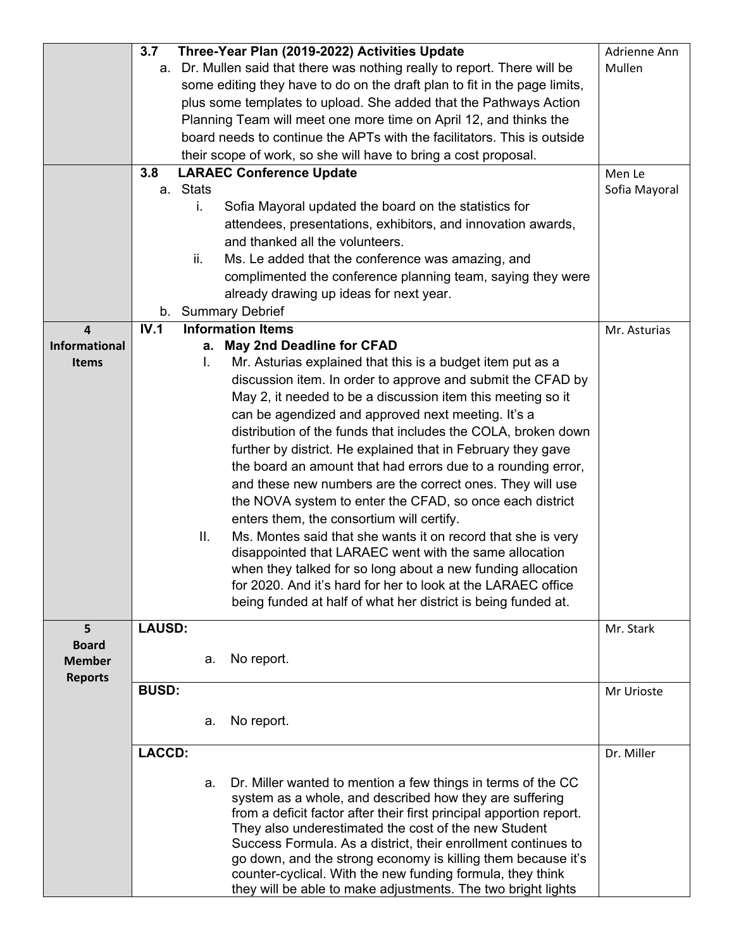|                         | Three-Year Plan (2019-2022) Activities Update<br>3.7 | Adrienne Ann |                                                                           |               |
|-------------------------|------------------------------------------------------|--------------|---------------------------------------------------------------------------|---------------|
|                         |                                                      |              | a. Dr. Mullen said that there was nothing really to report. There will be | Mullen        |
|                         |                                                      |              | some editing they have to do on the draft plan to fit in the page limits, |               |
|                         |                                                      |              | plus some templates to upload. She added that the Pathways Action         |               |
|                         |                                                      |              | Planning Team will meet one more time on April 12, and thinks the         |               |
|                         |                                                      |              | board needs to continue the APTs with the facilitators. This is outside   |               |
|                         |                                                      |              | their scope of work, so she will have to bring a cost proposal.           |               |
|                         | 3.8                                                  |              | <b>LARAEC Conference Update</b>                                           | Men Le        |
|                         |                                                      | a. Stats     |                                                                           | Sofia Mayoral |
|                         |                                                      | i.           | Sofia Mayoral updated the board on the statistics for                     |               |
|                         |                                                      |              | attendees, presentations, exhibitors, and innovation awards,              |               |
|                         |                                                      |              | and thanked all the volunteers.                                           |               |
|                         |                                                      | ii.          | Ms. Le added that the conference was amazing, and                         |               |
|                         |                                                      |              |                                                                           |               |
|                         |                                                      |              | complimented the conference planning team, saying they were               |               |
|                         |                                                      |              | already drawing up ideas for next year.                                   |               |
|                         |                                                      |              | b. Summary Debrief                                                        |               |
| $\overline{\mathbf{4}}$ | IV.1                                                 |              | <b>Information Items</b>                                                  | Mr. Asturias  |
| <b>Informational</b>    |                                                      | а.           | <b>May 2nd Deadline for CFAD</b>                                          |               |
| <b>Items</b>            |                                                      | I.           | Mr. Asturias explained that this is a budget item put as a                |               |
|                         |                                                      |              | discussion item. In order to approve and submit the CFAD by               |               |
|                         |                                                      |              | May 2, it needed to be a discussion item this meeting so it               |               |
|                         |                                                      |              | can be agendized and approved next meeting. It's a                        |               |
|                         |                                                      |              | distribution of the funds that includes the COLA, broken down             |               |
|                         |                                                      |              | further by district. He explained that in February they gave              |               |
|                         |                                                      |              | the board an amount that had errors due to a rounding error,              |               |
|                         |                                                      |              | and these new numbers are the correct ones. They will use                 |               |
|                         |                                                      |              | the NOVA system to enter the CFAD, so once each district                  |               |
|                         |                                                      |              | enters them, the consortium will certify.                                 |               |
|                         |                                                      | Ш.           | Ms. Montes said that she wants it on record that she is very              |               |
|                         |                                                      |              | disappointed that LARAEC went with the same allocation                    |               |
|                         |                                                      |              | when they talked for so long about a new funding allocation               |               |
|                         |                                                      |              | for 2020. And it's hard for her to look at the LARAEC office              |               |
|                         |                                                      |              | being funded at half of what her district is being funded at.             |               |
|                         |                                                      |              |                                                                           |               |
| 5                       | <b>LAUSD:</b>                                        |              |                                                                           | Mr. Stark     |
| <b>Board</b>            |                                                      |              |                                                                           |               |
| <b>Member</b>           |                                                      | а.           | No report.                                                                |               |
| <b>Reports</b>          |                                                      |              |                                                                           |               |
|                         | <b>BUSD:</b>                                         |              |                                                                           | Mr Urioste    |
|                         |                                                      |              |                                                                           |               |
|                         |                                                      | а.           | No report.                                                                |               |
|                         | <b>LACCD:</b>                                        |              |                                                                           | Dr. Miller    |
|                         |                                                      |              |                                                                           |               |
|                         |                                                      | a.           | Dr. Miller wanted to mention a few things in terms of the CC              |               |
|                         |                                                      |              | system as a whole, and described how they are suffering                   |               |
|                         |                                                      |              | from a deficit factor after their first principal apportion report.       |               |
|                         |                                                      |              | They also underestimated the cost of the new Student                      |               |
|                         |                                                      |              | Success Formula. As a district, their enrollment continues to             |               |
|                         |                                                      |              | go down, and the strong economy is killing them because it's              |               |
|                         |                                                      |              | counter-cyclical. With the new funding formula, they think                |               |
|                         |                                                      |              | they will be able to make adjustments. The two bright lights              |               |